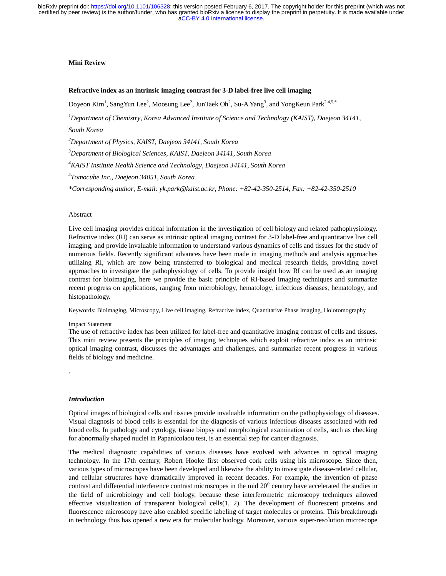## **Mini Review**

## **Refractive index as an intrinsic imaging contrast for 3-D label-free live cell imaging**

Doyeon Kim<sup>1</sup>, SangYun Lee<sup>2</sup>, Moosung Lee<sup>2</sup>, JunTaek Oh<sup>2</sup>, Su-A Yang<sup>3</sup>, and YongKeun Park<sup>2,4,5,\*</sup>

*1 Department of Chemistry, Korea Advanced Institute of Science and Technology (KAIST), Daejeon 34141, South Korea* 

*2 Department of Physics, KAIST, Daejeon 34141, South Korea* 

*3 Department of Biological Sciences, KAIST, Daejeon 34141, South Korea* 

*4 KAIST Institute Health Science and Technology, Daejeon 34141, South Korea* 

*5 Tomocube Inc., Daejeon 34051, South Korea* 

*\*Corresponding author, E-mail: yk.park@kaist.ac.kr, Phone: +82-42-350-2514, Fax: +82-42-350-2510* 

## Abstract

Live cell imaging provides critical information in the investigation of cell biology and related pathophysiology. Refractive index (RI) can serve as intrinsic optical imaging contrast for 3-D label-free and quantitative live cell imaging, and provide invaluable information to understand various dynamics of cells and tissues for the study of numerous fields. Recently significant advances have been made in imaging methods and analysis approaches utilizing RI, which are now being transferred to biological and medical research fields, providing novel approaches to investigate the pathophysiology of cells. To provide insight how RI can be used as an imaging contrast for bioimaging, here we provide the basic principle of RI-based imaging techniques and summarize recent progress on applications, ranging from microbiology, hematology, infectious diseases, hematology, and histopathology.

Keywords: Bioimaging, Microscopy, Live cell imaging, Refractive index, Quantitative Phase Imaging, Holotomography

#### Impact Statement

The use of refractive index has been utilized for label-free and quantitative imaging contrast of cells and tissues. This mini review presents the principles of imaging techniques which exploit refractive index as an intrinsic optical imaging contrast, discusses the advantages and challenges, and summarize recent progress in various fields of biology and medicine.

.

#### *Introduction*

Optical images of biological cells and tissues provide invaluable information on the pathophysiology of diseases. Visual diagnosis of blood cells is essential for the diagnosis of various infectious diseases associated with red blood cells. In pathology and cytology, tissue biopsy and morphological examination of cells, such as checking for abnormally shaped nuclei in Papanicolaou test, is an essential step for cancer diagnosis.

The medical diagnostic capabilities of various diseases have evolved with advances in optical imaging technology. In the 17th century, Robert Hooke first observed cork cells using his microscope. Since then, various types of microscopes have been developed and likewise the ability to investigate disease-related cellular, and cellular structures have dramatically improved in recent decades. For example, the invention of phase contrast and differential interference contrast microscopes in the mid  $20<sup>th</sup>$  century have accelerated the studies in the field of microbiology and cell biology, because these interferometric microscopy techniques allowed effective visualization of transparent biological cells(1, 2). The development of fluorescent proteins and fluorescence microscopy have also enabled specific labeling of target molecules or proteins. This breakthrough in technology thus has opened a new era for molecular biology. Moreover, various super-resolution microscope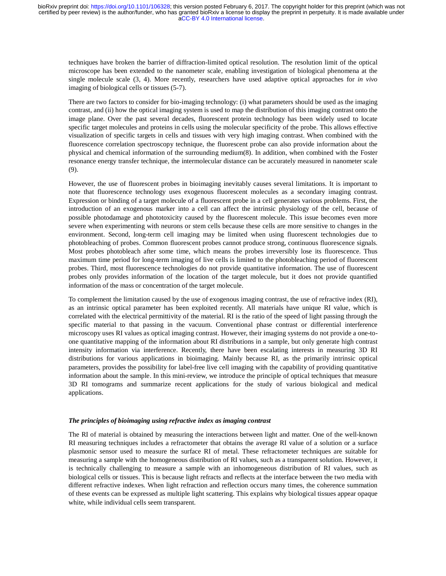techniques have broken the barrier of diffraction-limited optical resolution. The resolution limit of the optical microscope has been extended to the nanometer scale, enabling investigation of biological phenomena at the single molecule scale (3, 4). More recently, researchers have used adaptive optical approaches for *in vivo* imaging of biological cells or tissues (5-7).

There are two factors to consider for bio-imaging technology: (i) what parameters should be used as the imaging contrast, and (ii) how the optical imaging system is used to map the distribution of this imaging contrast onto the image plane. Over the past several decades, fluorescent protein technology has been widely used to locate specific target molecules and proteins in cells using the molecular specificity of the probe. This allows effective visualization of specific targets in cells and tissues with very high imaging contrast. When combined with the fluorescence correlation spectroscopy technique, the fluorescent probe can also provide information about the physical and chemical information of the surrounding medium(8). In addition, when combined with the Foster resonance energy transfer technique, the intermolecular distance can be accurately measured in nanometer scale (9).

However, the use of fluorescent probes in bioimaging inevitably causes several limitations. It is important to note that fluorescence technology uses exogenous fluorescent molecules as a secondary imaging contrast. Expression or binding of a target molecule of a fluorescent probe in a cell generates various problems. First, the introduction of an exogenous marker into a cell can affect the intrinsic physiology of the cell, because of possible photodamage and phototoxicity caused by the fluorescent molecule. This issue becomes even more severe when experimenting with neurons or stem cells because these cells are more sensitive to changes in the environment. Second, long-term cell imaging may be limited when using fluorescent technologies due to photobleaching of probes. Common fluorescent probes cannot produce strong, continuous fluorescence signals. Most probes photobleach after some time, which means the probes irreversibly lose its fluorescence. Thus maximum time period for long-term imaging of live cells is limited to the photobleaching period of fluorescent probes. Third, most fluorescence technologies do not provide quantitative information. The use of fluorescent probes only provides information of the location of the target molecule, but it does not provide quantified information of the mass or concentration of the target molecule.

To complement the limitation caused by the use of exogenous imaging contrast, the use of refractive index (RI), as an intrinsic optical parameter has been exploited recently. All materials have unique RI value, which is correlated with the electrical permittivity of the material. RI is the ratio of the speed of light passing through the specific material to that passing in the vacuum. Conventional phase contrast or differential interference microscopy uses RI values as optical imaging contrast. However, their imaging systems do not provide a one-toone quantitative mapping of the information about RI distributions in a sample, but only generate high contrast intensity information via interference. Recently, there have been escalating interests in measuring 3D RI distributions for various applications in bioimaging. Mainly because RI, as the primarily intrinsic optical parameters, provides the possibility for label-free live cell imaging with the capability of providing quantitative information about the sample. In this mini-review, we introduce the principle of optical techniques that measure 3D RI tomograms and summarize recent applications for the study of various biological and medical applications.

## *The principles of bioimaging using refractive index as imaging contrast*

The RI of material is obtained by measuring the interactions between light and matter. One of the well-known RI measuring techniques includes a refractometer that obtains the average RI value of a solution or a surface plasmonic sensor used to measure the surface RI of metal. These refractometer techniques are suitable for measuring a sample with the homogeneous distribution of RI values, such as a transparent solution. However, it is technically challenging to measure a sample with an inhomogeneous distribution of RI values, such as biological cells or tissues. This is because light refracts and reflects at the interface between the two media with different refractive indexes. When light refraction and reflection occurs many times, the coherence summation of these events can be expressed as multiple light scattering. This explains why biological tissues appear opaque white, while individual cells seem transparent.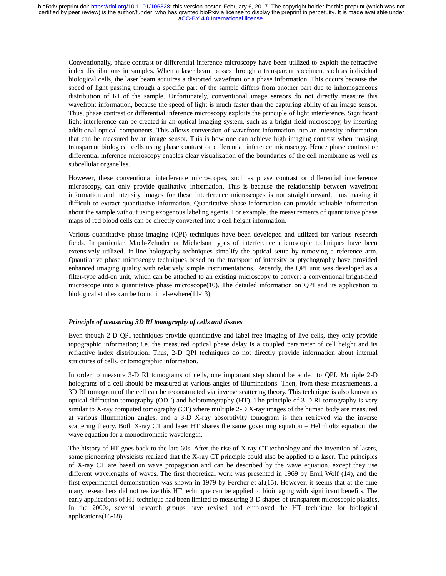Conventionally, phase contrast or differential inference microscopy have been utilized to exploit the refractive index distributions in samples. When a laser beam passes through a transparent specimen, such as individual biological cells, the laser beam acquires a distorted wavefront or a phase information. This occurs because the speed of light passing through a specific part of the sample differs from another part due to inhomogeneous distribution of RI of the sample. Unfortunately, conventional image sensors do not directly measure this wavefront information, because the speed of light is much faster than the capturing ability of an image sensor. Thus, phase contrast or differential inference microscopy exploits the principle of light interference. Significant light interference can be created in an optical imaging system, such as a bright-field microscopy, by inserting additional optical components. This allows conversion of wavefront information into an intensity information that can be measured by an image sensor. This is how one can achieve high imaging contrast when imaging transparent biological cells using phase contrast or differential inference microscopy. Hence phase contrast or differential inference microscopy enables clear visualization of the boundaries of the cell membrane as well as subcellular organelles.

However, these conventional interference microscopes, such as phase contrast or differential interference microscopy, can only provide qualitative information. This is because the relationship between wavefront information and intensity images for these interference microscopes is not straightforward, thus making it difficult to extract quantitative information. Quantitative phase information can provide valuable information about the sample without using exogenous labeling agents. For example, the measurements of quantitative phase maps of red blood cells can be directly converted into a cell height information.

Various quantitative phase imaging (QPI) techniques have been developed and utilized for various research fields. In particular, Mach-Zehnder or Michelson types of interference microscopic techniques have been extensively utilized. In-line holography techniques simplify the optical setup by removing a reference arm. Quantitative phase microscopy techniques based on the transport of intensity or ptychography have provided enhanced imaging quality with relatively simple instrumentations. Recently, the QPI unit was developed as a filter-type add-on unit, which can be attached to an existing microscopy to convert a conventional bright-field microscope into a quantitative phase microscope(10). The detailed information on QPI and its application to biological studies can be found in elsewhere(11-13).

# *Principle of measuring 3D RI tomography of cells and tissues*

Even though 2-D QPI techniques provide quantitative and label-free imaging of live cells, they only provide topographic information; i.e. the measured optical phase delay is a coupled parameter of cell height and its refractive index distribution. Thus, 2-D QPI techniques do not directly provide information about internal structures of cells, or tomographic information.

In order to measure 3-D RI tomograms of cells, one important step should be added to QPI. Multiple 2-D holograms of a cell should be measured at various angles of illuminations. Then, from these measruements, a 3D RI tomogram of the cell can be reconstructed via inverse scattering theory. This technique is also known as optical diffraction tomography (ODT) and holotomography (HT). The principle of 3-D RI tomography is very similar to X-ray computed tomography (CT) where multiple 2-D X-ray images of the human body are measured at various illumination angles, and a 3-D X-ray absorptivity tomogram is then retrieved via the inverse scattering theory. Both X-ray CT and laser HT shares the same governing equation – Helmholtz equation, the wave equation for a monochromatic wavelength.

The history of HT goes back to the late 60s. After the rise of X-ray CT technology and the invention of lasers, some pioneering physicists realized that the X-ray CT principle could also be applied to a laser. The principles of X-ray CT are based on wave propagation and can be described by the wave equation, except they use different wavelengths of waves. The first theoretical work was presented in 1969 by Emil Wolf (14), and the first experimental demonstration was shown in 1979 by Fercher et al.(15). However, it seems that at the time many researchers did not realize this HT technique can be applied to bioimaging with significant benefits. The early applications of HT technique had been limited to measuring 3-D shapes of transparent microscopic plastics. In the 2000s, several research groups have revised and employed the HT technique for biological applications(16-18).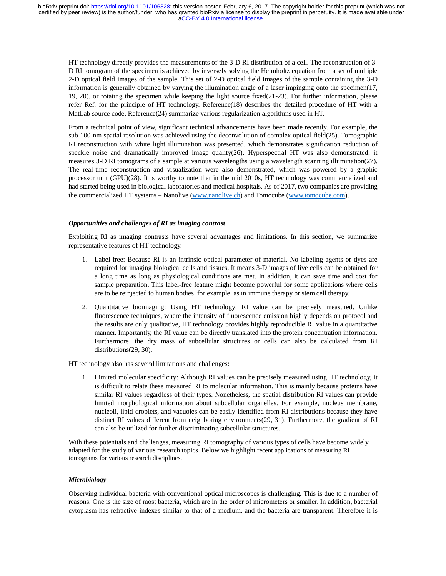HT technology directly provides the measurements of the 3-D RI distribution of a cell. The reconstruction of 3- D RI tomogram of the specimen is achieved by inversely solving the Helmholtz equation from a set of multiple 2-D optical field images of the sample. This set of 2-D optical field images of the sample containing the 3-D information is generally obtained by varying the illumination angle of a laser impinging onto the specimen(17, 19, 20), or rotating the specimen while keeping the light source fixed(21-23). For further information, please refer Ref. for the principle of HT technology. Reference(18) describes the detailed procedure of HT with a MatLab source code. Reference(24) summarize various regularization algorithms used in HT.

From a technical point of view, significant technical advancements have been made recently. For example, the sub-100-nm spatial resolution was achieved using the deconvolution of complex optical field(25). Tomographic RI reconstruction with white light illumination was presented, which demonstrates signification reduction of speckle noise and dramatically improved image quality(26). Hyperspectral HT was also demonstrated; it measures 3-D RI tomograms of a sample at various wavelengths using a wavelength scanning illumination(27). The real-time reconstruction and visualization were also demonstrated, which was powered by a graphic processor unit (GPU)(28). It is worthy to note that in the mid 2010s, HT technology was commercialized and had started being used in biological laboratories and medical hospitals. As of 2017, two companies are providing the commercialized HT systems – Nanolive (www.nanolive.ch) and Tomocube (www.tomocube.com).

## *Opportunities and challenges of RI as imaging contrast*

Exploiting RI as imaging contrasts have several advantages and limitations. In this section, we summarize representative features of HT technology.

- 1. Label-free: Because RI is an intrinsic optical parameter of material. No labeling agents or dyes are required for imaging biological cells and tissues. It means 3-D images of live cells can be obtained for a long time as long as physiological conditions are met. In addition, it can save time and cost for sample preparation. This label-free feature might become powerful for some applications where cells are to be reinjected to human bodies, for example, as in immune therapy or stem cell therapy.
- 2. Quantitative bioimaging: Using HT technology, RI value can be precisely measured. Unlike fluorescence techniques, where the intensity of fluorescence emission highly depends on protocol and the results are only qualitative, HT technology provides highly reproducible RI value in a quantitative manner. Importantly, the RI value can be directly translated into the protein concentration information. Furthermore, the dry mass of subcellular structures or cells can also be calculated from RI distributions(29, 30).

HT technology also has several limitations and challenges:

1. Limited molecular specificity: Although RI values can be precisely measured using HT technology, it is difficult to relate these measured RI to molecular information. This is mainly because proteins have similar RI values regardless of their types. Nonetheless, the spatial distribution RI values can provide limited morphological information about subcellular organelles. For example, nucleus membrane, nucleoli, lipid droplets, and vacuoles can be easily identified from RI distributions because they have distinct RI values different from neighboring environments(29, 31). Furthermore, the gradient of RI can also be utilized for further discriminating subcellular structures.

With these potentials and challenges, measuring RI tomography of various types of cells have become widely adapted for the study of various research topics. Below we highlight recent applications of measuring RI tomograms for various research disciplines.

#### *Microbiology*

Observing individual bacteria with conventional optical microscopes is challenging. This is due to a number of reasons. One is the size of most bacteria, which are in the order of micrometers or smaller. In addition, bacterial cytoplasm has refractive indexes similar to that of a medium, and the bacteria are transparent. Therefore it is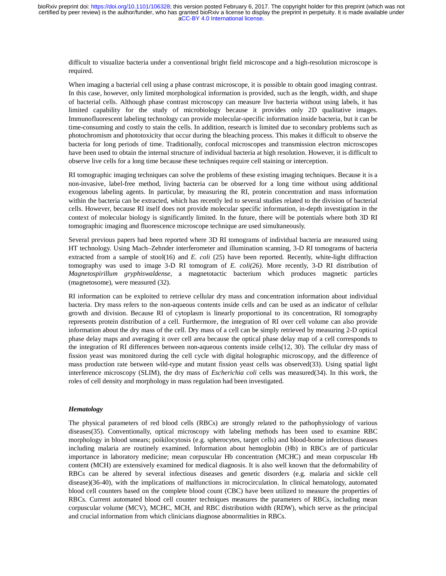difficult to visualize bacteria under a conventional bright field microscope and a high-resolution microscope is required.

When imaging a bacterial cell using a phase contrast microscope, it is possible to obtain good imaging contrast. In this case, however, only limited morphological information is provided, such as the length, width, and shape of bacterial cells. Although phase contrast microscopy can measure live bacteria without using labels, it has limited capability for the study of microbiology because it provides only 2D qualitative images. Immunofluorescent labeling technology can provide molecular-specific information inside bacteria, but it can be time-consuming and costly to stain the cells. In addition, research is limited due to secondary problems such as photochromism and phototoxicity that occur during the bleaching process. This makes it difficult to observe the bacteria for long periods of time. Traditionally, confocal microscopes and transmission electron microscopes have been used to obtain the internal structure of individual bacteria at high resolution. However, it is difficult to observe live cells for a long time because these techniques require cell staining or interception.

RI tomographic imaging techniques can solve the problems of these existing imaging techniques. Because it is a non-invasive, label-free method, living bacteria can be observed for a long time without using additional exogenous labeling agents. In particular, by measuring the RI, protein concentration and mass information within the bacteria can be extracted, which has recently led to several studies related to the division of bacterial cells. However, because RI itself does not provide molecular specific information, in-depth investigation in the context of molecular biology is significantly limited. In the future, there will be potentials where both 3D RI tomographic imaging and fluorescence microscope technique are used simultaneously.

Several previous papers had been reported where 3D RI tomograms of individual bacteria are measured using HT technology. Using Mach–Zehnder interferometer and illumination scanning, 3-D RI tomograms of bacteria extracted from a sample of stool(16) and *E. coli* (25) have been reported. Recently, white-light diffraction tomography was used to image 3-D RI tomogram of *E. coli(26)*. More recently, 3-D RI distribution of *Magnetospirillum gryphiswaldense,* a magnetotactic bacterium which produces magnetic particles (magnetosome), were measured (32).

RI information can be exploited to retrieve cellular dry mass and concentration information about individual bacteria. Dry mass refers to the non-aqueous contents inside cells and can be used as an indicator of cellular growth and division. Because RI of cytoplasm is linearly proportional to its concentration, RI tomography represents protein distribution of a cell. Furthermore, the integration of RI over cell volume can also provide information about the dry mass of the cell. Dry mass of a cell can be simply retrieved by measuring 2-D optical phase delay maps and averaging it over cell area because the optical phase delay map of a cell corresponds to the integration of RI differences between non-aqueous contents inside cells(12, 30). The cellular dry mass of fission yeast was monitored during the cell cycle with digital holographic microscopy, and the difference of mass production rate between wild-type and mutant fission yeast cells was observed(33). Using spatial light interference microscopy (SLIM), the dry mass of *Escherichia coli* cells was measured(34). In this work, the roles of cell density and morphology in mass regulation had been investigated.

#### *Hematology*

The physical parameters of red blood cells (RBCs) are strongly related to the pathophysiology of various diseases(35). Conventionally, optical microscopy with labeling methods has been used to examine RBC morphology in blood smears; poikilocytosis (e.g. spherocytes, target cells) and blood-borne infectious diseases including malaria are routinely examined. Information about hemoglobin (Hb) in RBCs are of particular importance in laboratory medicine; mean corpuscular Hb concentration (MCHC) and mean corpuscular Hb content (MCH) are extensively examined for medical diagnosis. It is also well known that the deformability of RBCs can be altered by several infectious diseases and genetic disorders (e.g. malaria and sickle cell disease)(36-40), with the implications of malfunctions in microcirculation. In clinical hematology, automated blood cell counters based on the complete blood count (CBC) have been utilized to measure the properties of RBCs. Current automated blood cell counter techniques measures the parameters of RBCs, including mean corpuscular volume (MCV), MCHC, MCH, and RBC distribution width (RDW), which serve as the principal and crucial information from which clinicians diagnose abnormalities in RBCs.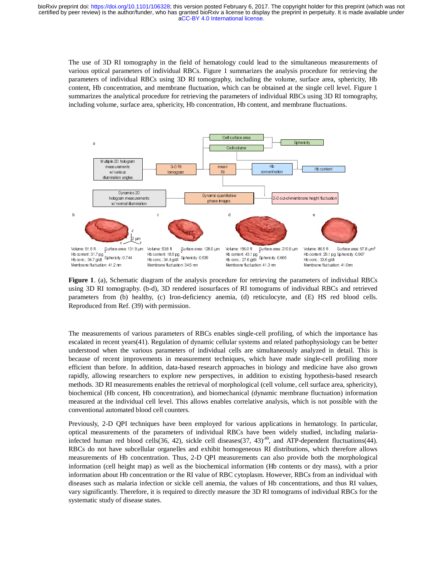The use of 3D RI tomography in the field of hematology could lead to the simultaneous measurements of various optical parameters of individual RBCs. Figure 1 summarizes the analysis procedure for retrieving the parameters of individual RBCs using 3D RI tomography, including the volume, surface area, sphericity, Hb content, Hb concentration, and membrane fluctuation, which can be obtained at the single cell level. Figure 1 summarizes the analytical procedure for retrieving the parameters of individual RBCs using 3D RI tomography, including volume, surface area, sphericity, Hb concentration, Hb content, and membrane fluctuations.



**Figure 1**. (a), Schematic diagram of the analysis procedure for retrieving the parameters of individual RBCs using 3D RI tomography. (b-d), 3D rendered isosurfaces of RI tomograms of individual RBCs and retrieved parameters from (b) healthy, (c) Iron-deficiency anemia, (d) reticulocyte, and (E) HS red blood cells. Reproduced from Ref. (39) with permission.

The measurements of various parameters of RBCs enables single-cell profiling, of which the importance has escalated in recent years(41). Regulation of dynamic cellular systems and related pathophysiology can be better understood when the various parameters of individual cells are simultaneously analyzed in detail. This is because of recent improvements in measurement techniques, which have made single-cell profiling more efficient than before. In addition, data-based research approaches in biology and medicine have also grown rapidly, allowing researchers to explore new perspectives, in addition to existing hypothesis-based research methods. 3D RI measurements enables the retrieval of morphological (cell volume, cell surface area, sphericity), biochemical (Hb concent, Hb concentration), and biomechanical (dynamic membrane fluctuation) information measured at the individual cell level. This allows enables correlative analysis, which is not possible with the conventional automated blood cell counters. France Controller and The Tenant Controller and Tenant Controller and Separation Controller and Tenant Controller and Tenant Controller and Tenant Controller and Tenant Controller and Thereford Holocoup Hb controller and T Whomal illumination<br>
x x 2<br>
2<br>
x tace area: 131.9 µm<br>
hericiy: 0.744<br>
11.2 mm<br>
Schematic diag<br>
bendancy: 0.744<br>
11.2 mm<br>
Schematic diag<br>
omography. (b-<br>
bom (b) healthy<br>
pm Ref. (39) wi<br>
eents of various<br>
cent years (41). Example 2.131.9 pm<br>ace area: 131.9 pm<br>ace area: 131.9 pm<br>mography. (1<br>mography. (1<br>m Ref. (39) v<br>mns of variou<br>ent years (41)<br>ent set of various<br>ent improver<br>efore. In add researcher<br>measurement improver<br>individual connec These images<br>
These images<br>
The control of the control of the control of the contribution<br>
is procedure<br>
Sosurfaces of the control of the control of the control<br>
Sosurfaces of anonia,<br>
BCs enables callular<br>
dividual cell d Base mages  $\frac{1}{2}$ <br>  $\frac{1}{2}$  when  $\frac{1}{2}$  and  $\frac{1}{2}$  and  $\frac{1}{2}$  and  $\frac{1}{2}$  and  $\frac{1}{2}$  be once  $\frac{1}{2}$  and  $\frac{1}{2}$  be once  $\frac{1}{2}$  and  $\frac{1}{2}$  be once  $\frac{1}{2}$  and  $\frac{1}{2}$  be once  $\frac{1}{2}$  be o Example the state of the state of the state of the state of the state of the state of the state of the state of the state of the state of the state of the state of the state of the state of the state of the state of the s  $2\sum_{i=1}^{2m}$ <br> $1.9 \text{ }\mu$  is ticky.<br> $(39 \text{ }\text{var} \text{ }\text{ref} \text{)}$ <br> $(39 \text{ }\text{var} \text{ }\text{ref} \text{)}$ <br> $(1.9 \text{ }\text{var} \text{ }\text{ref} \text{)}$ <br> $1.9 \text{ }\text{var}$ <br> $1.9 \text{ }\text{var}$ <br> $1.9 \text{ }\text{var}$ <br> $1.9 \text{ }\text{var}$ <br> $1.1 \text{ }\text{var}$ <br> $1.1 \text{ }\text{var}$ <br> $1.1 \text{ }\text{var}$ <br> $1.1 \text{ }\$ Hb content: 31<br>Hb content: 31<br>Hb conc.: 347<br>Membrane fluc<br>Membrane fluc<br>**Nigure 1:**<br>Sing 3D<br>arameter Membrane fluc<br>Scalated<br>Membrane scalated<br>measured fricient 1<br>apidly, a nethods.<br>iochemic<br>priciously<br>ptical measured<br>Previ Hb conc..34.7 g/dl<br>
Hb conc..34.7 g/dl<br>
Membrane fluctuatic<br> **Nigure 1.** (a<br>
sing 3D RI<br>
arameters<br>
scalated in<br>
Nembrane fluctuatic<br> **Ceproduced**<br>
The measure scalated in mderstood<br>
ecause of fficient than<br>
apidly, allow<br> Membrane fluctuat<br>Membrane fluctuat<br>Tigure 1. (a<br>Sing 3D R<br>arameters<br>Seproduced<br>The measur scalated in mderstood<br>ecause of fficient tha<br>apidly, allo<br>nethods. 3L<br>iochemical magnitudes of fficient than apidly, allo<br>nethods. Figure 1. (a), Sche<br>
sing 3D RI tomog<br>
arameters from (<br>
Reproduced from R<br>
Reproduced from R<br>
scalated in recent<br>
scalated in recent<br>
measure of recent<br>
fficient than befolo<br>
apidly, allowing r<br>
nethods. 3D RI measured at Sphericty: 0.744<br>
Sphericty: 0.744<br>
n: 41.2 mm<br>
a: 41.2 mm<br>
(b) heal tomography.<br>
irom Ref. (39)<br>
ments of varice cent years (41<br>
when the various peace area: 1<br>
wing researche<br>
RI measureme<br>
(Hb concent, 1<br>
the individua n:412 mm<br>
, Schema<br>
tomograp<br>
tomograp<br>
tomograp<br>
iom Ref.<br>
ments of<br>
ecent year<br>
when the<br>
ecent implements<br>
In the indivity<br>
call measurements<br>
an red bl<br>
thave sulfib curements<br>
so f Hb is<br>
cell heigh<br>
bout Hb c<br>
as mal Hb content: 18<br>Hb conc.: 34.4<br>Hb conc.: 34.4<br>Membrane fluc<br>Membrane fluc<br>1971 (c) I<br>vith perm<br>1981 (c) I<br>vith perm<br>1981 Space of the paramments in lition, das to exp<br>1981 toncent is a stable<br>concell level<br>d cell cover<br>e pa Hb conc..34.4 g/dl<br>Hb conc..34.4 g/dl<br>Hb conc..34.4 g/dl<br>Membrane fluctuatic<br>Agram of th<br>D-d), 3D rer<br>vith permiss<br>sparamete<br>Press paramete<br>ments in m<br>lition, data-<br>s to explore<br>the b concentra<br>cell level. T<br>d cell count<br>q Membrane fluctuat<br>agram of the Membrane fluctuat<br>agram of the --d), 3D re<br>vy, (c) Iron<br>with permiss<br>as paramete.<br>Regulation sparametes in m<br>is parametes in m<br>dition, data s to explor<br>the end cell coun<br>ques have<br>e parametee net analyon of the analyon-d), 3D rendered<br>y, (c) Iron-defici<br>with permission.<br>Is parameters of R. Regulation of dyi<br>is parameters of<br>ments in measure<br>lition, data-based<br>s to explore new<br>ts enables the retrib<br>concentration  $S_{\text{phelicity}}$  0.539<br>  $S_{\text{phelicity}}$  0.539<br>  $S_{\text{m}}$  analysis prodered isosurfa<br>  $\text{-deficiency}$  analysis prodered isosurfa<br>  $\text{-deficiency}$  and<br>  $\text{-deficiency}$  and<br>  $\text{-deficiency}$  and<br>  $\text{-deficiency}$  and<br>  $\text{-definterval}$  of  $\text{-differential}$ <br>  $\text{-dual}$  and  $\text{-dual}$ <br>  $\text{-dual}$ n:345 mm<br>
e analysis<br>
e analysis<br>
dered isos<br>
dered isos<br>
dered isos<br>
dered isos<br>
dered isos<br>
on.<br>
sphericity: 0.5<br>
e and exists<br>
ones and exists<br>
of individues<br>
sphericity: 1.5<br>
sphericity: 1.5<br>
sphericity: 1.5<br>
sphericit Hb content: 43.1<br>Hb content: 43.1<br>Hb conc.: 27.6 g<br>Membrane fluctt<br>Membrane fluctt<br>dure for 1<br>s of RI t<br>mia, (d)<br>ples singled and all all all also reproduces, in add<br>proporache ves, in address orrela<br>chanical es correla<br>fo Hb conc...27.6 gMI<br>Hb conc...27.6 gMI<br>Membrane fluctuality<br>Membrane fluctuality<br>Membrane fluctuality<br>dure for retts of RI torn<br>mia, (d) re<br>ples single-cular system<br>cells are singues, wh<br>ppproaches<br>prophologica<br>chanical (d<br> Membrane fluctuat<br>
Membrane fluctuat<br>
dure for ret<br>
s of RI tor<br>
dure for ret<br>
s of RI tor<br>
mia, (d) ret<br>
ples single-<br>
cells are<br>
reticls are<br>
reticls are<br>
reticls are<br>
reticls are<br>
correlation<br>
chanical (d)<br>
chanical (d) dure for retrieving<br>the sof RI tomogram<br>mia, (d) reticuloc<br>pluctuation: 41.3 nm and r<br>cells are simulta<br>niques, which ha<br>approaches in biol<br>ves, in addition to<br>orphological (cell v<br>chanical (dynamic<br>es correlative anal<br>for  $S_{\text{phelicity}}$  0.665<br>  $S_{\text{phelicity}}$  0.665<br>  $S_{\text{phelicity}}$  0.665<br>  $S_{\text{th}}$  41.3 mm<br>
ieving the paralograms of international international scale area:<br>  $S_{\text{th}}$  and related p<br>
imultaneously<br>
characterized international internatio n:413 mm<br>ieving the<br>ieving the<br>iograms of<br>iculocyte,<br>ell profilis and relation<br>in the profilis of the profile of the profile<br>application been wide analysis<br>application been wide analysis<br>application been wide analysis<br>app Hb content: 29<br>Hb conc.: 33.6<br>Hb conc.: 33.6<br>Membrane fluc<br>Membrane fluc<br>Original RI<br>(E) HS<br>which the hopphysic<br>malgrade in the strategy<br>and single-ceen hypothes<br>Ill surface fluctual<br>tudied, is not<br>he matolo, is ependent<br>o Hb conc...33.6 g/dl<br>
Hb conc...33.6 g/dl<br>
Membrane fluctuatic<br>
meters of in<br>
vidual RBC.<br>
(E) HS re<br>
which the inpopysiolog<br>
malyzed in<br>
single-cell<br>
medicine haypothesis-<br>
Il surface an<br>
effluctuatic<br>
che inportant fluctu Membrane fluctuat<br>
Membrane fluctuat<br>
meters of iridual RBC<br>
(E) HS re<br>
vidual RBC<br>
(E) HS re<br>
which the<br>
hophysiolog<br>
nalyzed in<br>
single-cell<br>
medicine h<br>
hypothesis<br>
ell surface a<br>
ne fluctuatitich is not pe<br>
hematolog<br> meters of individu<br>
vidual RBCs and<br>
(E) HS red bloo<br>
which the import<br>
hophysiology can<br>
nalyzed in detail<br>
single-cell profili<br>
medicine have als<br>
hypothesis-based<br>
ell surface area, spl<br>
le fluctuation) inf<br>
th is not p Subtractive area: 97.8 panels area: 97.8 panels sheeting: 0.967<br>in 41.0nm<br>dividual RBC: and retrieved<br>and retrieved<br>and retrieved<br>postage area: 97.8 panels are also grown<br>axed research<br>ea, sphericity)<br>in information<br>sible iveral and retricular and retricular and retricular and retricular and retricular and retricular and retriculing a passed resear a spheric ding male interaction in particular and morpholo and morpholo and retries of RBCs f

Previously, 2-D QPI techniques have been employed for various applications in hematology. In particular, optical measurements of the parameters of individual RBCs have been widely studied, including malariainfected human red blood cells(36, 42), sickle cell diseases(37, 43)<sup>,40</sup>, and ATP-dependent fluctuations(44). RBCs do not have subcellular organelles and exhibit homogeneous RI distributions, which therefore allows measurements of Hb concentration. Thus, 2-D QPI measurements can also provide both the morphological information (cell height map) as well as the biochemical information (Hb contents or dry mass), with a prior information about Hb concentration or the RI value of RBC cytoplasm. However, RBCs from an individual with diseases such as malaria infection or sickle cell anemia, the values of Hb concentrations, and thus RI values, vary significantly. Therefore, it is required to directly measure the 3D RI tomograms of individual RBCs for the systematic study of disease states.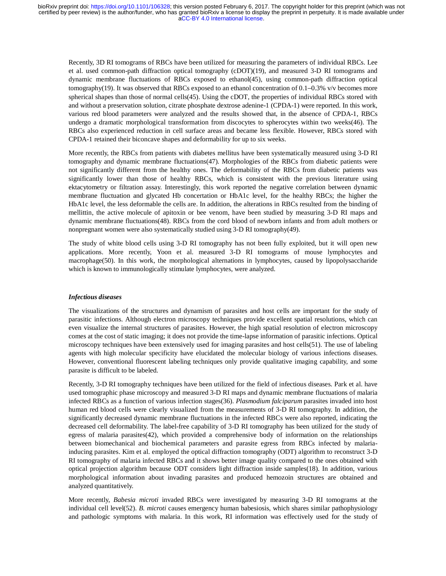Recently, 3D RI tomograms of RBCs have been utilized for measuring the parameters of individual RBCs. Lee et al. used common-path diffraction optical tomography (cDOT)(19), and measured 3-D RI tomograms and dynamic membrane fluctuations of RBCs exposed to ethanol(45), using common-path diffraction optical tomography(19). It was observed that RBCs exposed to an ethanol concentration of 0.1−0.3% v/v becomes more spherical shapes than those of normal cells(45). Using the cDOT, the properties of individual RBCs stored with and without a preservation solution, citrate phosphate dextrose adenine-1 (CPDA-1) were reported. In this work, various red blood parameters were analyzed and the results showed that, in the absence of CPDA-1, RBCs undergo a dramatic morphological transformation from discocytes to spherocytes within two weeks(46). The RBCs also experienced reduction in cell surface areas and became less flexible. However, RBCs stored with CPDA-1 retained their biconcave shapes and deformability for up to six weeks.

More recently, the RBCs from patients with diabetes mellitus have been systematically measured using 3-D RI tomography and dynamic membrane fluctuations(47). Morphologies of the RBCs from diabetic patients were not significantly different from the healthy ones. The deformability of the RBCs from diabetic patients was significantly lower than those of healthy RBCs, which is consistent with the previous literature using ektacytometry or filtration assay. Interestingly, this work reported the negative correlation between dynamic membrane fluctuation and glycated Hb concertation or HbA1c level, for the healthy RBCs; the higher the HbA1c level, the less deformable the cells are. In addition, the alterations in RBCs resulted from the binding of mellittin, the active molecule of apitoxin or bee venom, have been studied by measuring 3-D RI maps and dynamic membrane fluctuations(48). RBCs from the cord blood of newborn infants and from adult mothers or nonpregnant women were also systematically studied using 3-D RI tomography(49).

The study of white blood cells using 3-D RI tomography has not been fully exploited, but it will open new applications. More recently, Yoon et al. measured 3-D RI tomograms of mouse lymphocytes and macrophage(50). In this work, the morphological alternations in lymphocytes, caused by lipopolysaccharide which is known to immunologically stimulate lymphocytes, were analyzed.

# *Infectious diseases*

The visualizations of the structures and dynamism of parasites and host cells are important for the study of parasitic infections. Although electron microscopy techniques provide excellent spatial resolutions, which can even visualize the internal structures of parasites. However, the high spatial resolution of electron microscopy comes at the cost of static imaging; it does not provide the time-lapse information of parasitic infections. Optical microscopy techniques have been extensively used for imaging parasites and host cells(51). The use of labeling agents with high molecular specificity have elucidated the molecular biology of various infections diseases. However, conventional fluorescent labeling techniques only provide qualitative imaging capability, and some parasite is difficult to be labeled.

Recently, 3-D RI tomography techniques have been utilized for the field of infectious diseases. Park et al. have used tomographic phase microscopy and measured 3-D RI maps and dynamic membrane fluctuations of malaria infected RBCs as a function of various infection stages(36). *Plasmodium falciparum* parasites invaded into host human red blood cells were clearly visualized from the measurements of 3-D RI tomography. In addition, the significantly decreased dynamic membrane fluctuations in the infected RBCs were also reported, indicating the decreased cell deformability. The label-free capability of 3-D RI tomography has been utilized for the study of egress of malaria parasites(42), which provided a comprehensive body of information on the relationships between biomechanical and biochemical parameters and parasite egress from RBCs infected by malariainducing parasites. Kim et al. employed the optical diffraction tomography (ODT) algorithm to reconstruct 3-D RI tomography of malaria infected RBCs and it shows better image quality compared to the ones obtained with optical projection algorithm because ODT considers light diffraction inside samples(18). In addition, various morphological information about invading parasites and produced hemozoin structures are obtained and analyzed quantitatively.

More recently, *Babesia microti* invaded RBCs were investigated by measuring 3-D RI tomograms at the individual cell level(52). *B. microti* causes emergency human babesiosis, which shares similar pathophysiology and pathologic symptoms with malaria. In this work, RI information was effectively used for the study of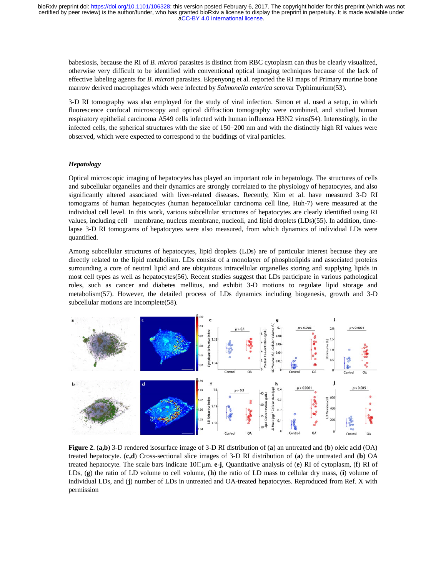babesiosis, because the RI of *B. microti* parasites is distinct from RBC cytoplasm can thus be clearly visualized, otherwise very difficult to be identified with conventional optical imaging techniques because of the lack of effective labeling agents for *B. microti* parasites. Ekpenyong et al. reported the RI maps of Primary murine bone marrow derived macrophages which were infected by *Salmonella enterica* serovar Typhimurium(53).

3-D RI tomography was also employed for the study of viral infection. Simon et al. used a setup, in which fluorescence confocal microscopy and optical diffraction tomography were combined, and studied human respiratory epithelial carcinoma A549 cells infected with human influenza H3N2 virus(54). Interestingly, in the infected cells, the spherical structures with the size of 150−200 nm and with the distinctly high RI values were observed, which were expected to correspond to the buddings of viral particles.

# *Hepatology*

Optical microscopic imaging of hepatocytes has played an important role in hepatology. The structures of cells and subcellular organelles and their dynamics are strongly correlated to the physiology of hepatocytes, and also significantly altered associated with liver-related diseases. Recently, Kim et al. have measured 3-D RI tomograms of human hepatocytes (human hepatocellular carcinoma cell line, Huh-7) were measured at the individual cell level. In this work, various subcellular structures of hepatocytes are clearly identified using RI values, including cell membrane, nucleus membrane, nucleoli, and lipid droplets (LDs)(55). In addition, timelapse 3-D RI tomograms of hepatocytes were also measured, from which dynamics of individual LDs were quantified.

Among subcellular structures of hepatocytes, lipid droplets (LDs) are of particular interest because they are directly related to the lipid metabolism. LDs consist of a monolayer of phospholipids and associated proteins surrounding a core of neutral lipid and are ubiquitous intracellular organelles storing and supplying lipids in most cell types as well as hepatocytes(56). Recent studies suggest that LDs participate in various pathological roles, such as cancer and diabetes mellitus, and exhibit 3-D motions to regulate lipid storage and metabolism(57). However, the detailed process of LDs dynamics including biogenesis, growth and 3-D subcellular motions are incomplete(58).



**Figure 2**. (**a,b**) 3-D rendered isosurface image of 3-D RI distribution of (**a**) an untreated and (**b**) oleic acid (OA) treated hepatocyte. (**c,d**) Cross-sectional slice images of 3-D RI distribution of (**a**) the untreated and (**b**) OA treated hepatocyte. The scale bars indicate 10μm. **e-j**, Quantitative analysis of (**e**) RI of cytoplasm, (**f**) RI of LDs, (**g**) the ratio of LD volume to cell volume, (**h**) the ratio of LD mass to cellular dry mass, (**i**) volume of individual LDs, and (**j**) number of LDs in untreated and OA-treated hepatocytes. Reproduced from Ref. X with permission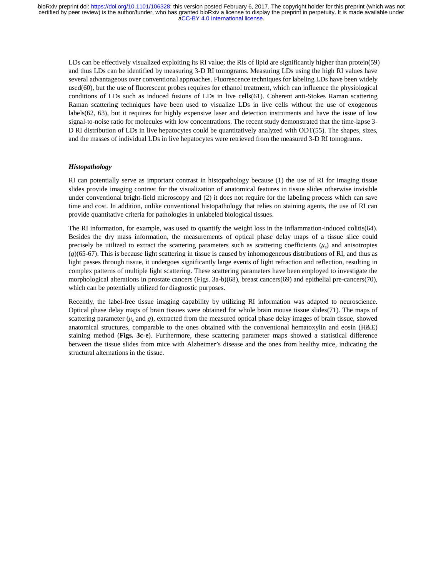LDs can be effectively visualized exploiting its RI value; the RIs of lipid are significantly higher than protein(59) and thus LDs can be identified by measuring 3-D RI tomograms. Measuring LDs using the high RI values have several advantageous over conventional approaches. Fluorescence techniques for labeling LDs have been widely used(60), but the use of fluorescent probes requires for ethanol treatment, which can influence the physiological conditions of LDs such as induced fusions of LDs in live cells(61). Coherent anti-Stokes Raman scattering Raman scattering techniques have been used to visualize LDs in live cells without the use of exogenous labels(62, 63), but it requires for highly expensive laser and detection instruments and have the issue of low signal-to-noise ratio for molecules with low concentrations. The recent study demonstrated that the time-lapse 3- D RI distribution of LDs in live hepatocytes could be quantitatively analyzed with ODT(55). The shapes, sizes, and the masses of individual LDs in live hepatocytes were retrieved from the measured 3-D RI tomograms.

# *Histopathology*

RI can potentially serve as important contrast in histopathology because (1) the use of RI for imaging tissue slides provide imaging contrast for the visualization of anatomical features in tissue slides otherwise invisible under conventional bright-field microscopy and (2) it does not require for the labeling process which can save time and cost. In addition, unlike conventional histopathology that relies on staining agents, the use of RI can provide quantitative criteria for pathologies in unlabeled biological tissues.

The RI information, for example, was used to quantify the weight loss in the inflammation-induced colitis(64). Besides the dry mass information, the measurements of optical phase delay maps of a tissue slice could precisely be utilized to extract the scattering parameters such as scattering coefficients  $(\mu_s)$  and anisotropies (*g*)(65-67). This is because light scattering in tissue is caused by inhomogeneous distributions of RI, and thus as light passes through tissue, it undergoes significantly large events of light refraction and reflection, resulting in complex patterns of multiple light scattering. These scattering parameters have been employed to investigate the morphological alterations in prostate cancers (Figs. 3a-b)(68), breast cancers(69) and epithelial pre-cancers(70), which can be potentially utilized for diagnostic purposes.

Recently, the label-free tissue imaging capability by utilizing RI information was adapted to neuroscience. Optical phase delay maps of brain tissues were obtained for whole brain mouse tissue slides(71). The maps of scattering parameter  $(\mu_s$  and *g*), extracted from the measured optical phase delay images of brain tissue, showed anatomical structures, comparable to the ones obtained with the conventional hematoxylin and eosin (H&E) staining method (**Figs. 3c-e**). Furthermore, these scattering parameter maps showed a statistical difference between the tissue slides from mice with Alzheimer's disease and the ones from healthy mice, indicating the structural alternations in the tissue.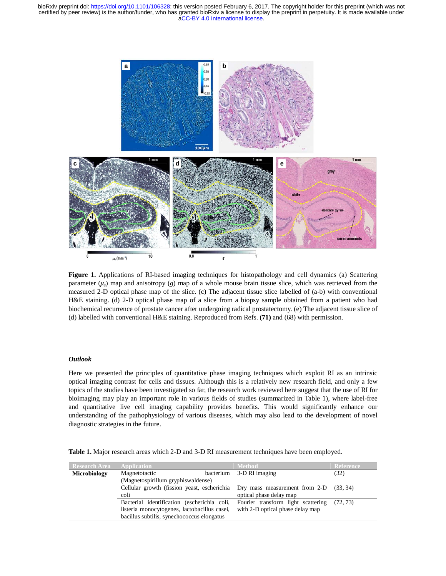[aCC-BY 4.0 International license.](http://creativecommons.org/licenses/by/4.0/) certified by peer review) is the author/funder, who has granted bioRxiv a license to display the preprint in perpetuity. It is made available under bioRxiv preprint doi: [https://doi.org/10.1101/106328;](https://doi.org/10.1101/106328) this version posted February 6, 2017. The copyright holder for this preprint (which was not



Figure 1. Applications of RI-based imaging techniques for histopathology and cell dynamics (a) Scattering parameter  $(\mu_s)$  map and anisotropy  $(g)$  map of a whole mouse brain tissue slice, which was retrieved from the measured 2-D optical phase map of the slice. (c) The adjacent tissue slice labelled of (a-b) with conventional H&E staining. (d) 2-D optical phase map of a slice from a biopsy sample obtained from a patient who had biochemical recurrence of prostate cancer after undergoing radical prostatectomy. (e) The adjacent tissue slice of (d) labelled with conventional H&E staining. Reproduced from Refs. **(71)** and (68) with permission.

# *Outlook*

Here we presented the principles of quantitative phase imaging techniques which exploit RI as an intrinsic optical imaging contrast for cells and tissues. Although this is a relatively new research field, and only a few topics of the studies have been investigated so far, the research work reviewed here suggest that the use of RI for bioimaging may play an important role in various fields of studies (summarized in Table 1), where label-free and quantitative live cell imaging capability provides benefits. This would significantly enhance our understanding of the pathophysiology of various diseases, which may also lead to the development of novel diagnostic strategies in the future.

|  |  | Table 1. Major research areas which 2-D and 3-D RI measurement techniques have been employed. |  |
|--|--|-----------------------------------------------------------------------------------------------|--|
|  |  |                                                                                               |  |

| <b>Research Area</b> | <b>Application</b>                                                                 | <b>Method</b>                      | Reference |  |  |  |
|----------------------|------------------------------------------------------------------------------------|------------------------------------|-----------|--|--|--|
| <b>Microbiology</b>  | Magnetotactic                                                                      | bacterium 3-D RI imaging           | (32)      |  |  |  |
|                      | (Magnetospirillum gryphiswaldense)                                                 |                                    |           |  |  |  |
|                      | Cellular growth (fission yeast, escherichia Dry mass measurement from 2-D (33, 34) |                                    |           |  |  |  |
|                      | coli                                                                               | optical phase delay map            |           |  |  |  |
|                      | Bacterial identification (escherichia coli,                                        | Fourier transform light scattering | (72, 73)  |  |  |  |
|                      | listeria monocytogenes, lactobacillus casei,                                       | with 2-D optical phase delay map   |           |  |  |  |
|                      | bacillus subtilis, synechococcus elongatus                                         |                                    |           |  |  |  |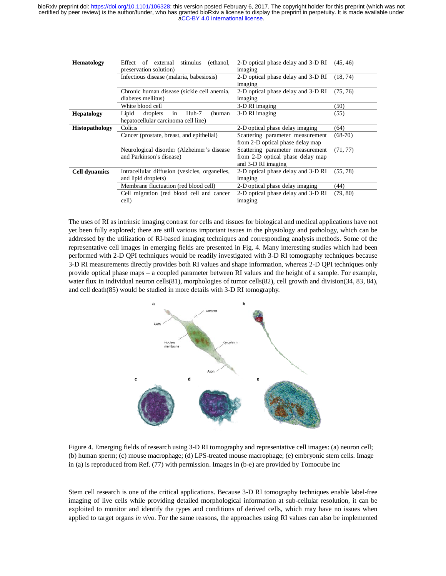| <b>Hematology</b>     | Effect of external<br>stimulus<br>(ethanol,<br>preservation solution)             | 2-D optical phase delay and 3-D RI<br>imaging                                              | (45, 46)  |
|-----------------------|-----------------------------------------------------------------------------------|--------------------------------------------------------------------------------------------|-----------|
|                       | Infectious disease (malaria, babesiosis)                                          | 2-D optical phase delay and 3-D RI<br>imaging                                              | (18, 74)  |
|                       | Chronic human disease (sickle cell anemia,<br>diabetes mellitus)                  | 2-D optical phase delay and 3-D RI<br>imaging                                              | (75, 76)  |
|                       | White blood cell                                                                  | 3-D RI imaging                                                                             | (50)      |
| <b>Hepatology</b>     | in<br>droplets<br>Huh-7<br>Lipid<br>(human<br>hepatocellular carcinoma cell line) | 3-D RI imaging                                                                             | (55)      |
| <b>Histopathology</b> | Colitis                                                                           | 2-D optical phase delay imaging                                                            | (64)      |
|                       | Cancer (prostate, breast, and epithelial)                                         | Scattering parameter measurement<br>from 2-D optical phase delay map                       | $(68-70)$ |
|                       | Neurological disorder (Alzheimer's disease<br>and Parkinson's disease)            | Scattering parameter measurement<br>from 2-D optical phase delay map<br>and 3-D RI imaging | (71, 77)  |
| <b>Cell dynamics</b>  | Intracellular diffusion (vesicles, organelles,<br>and lipid droplets)             | 2-D optical phase delay and 3-D RI<br>imaging                                              | (55, 78)  |
|                       | Membrane fluctuation (red blood cell)                                             | 2-D optical phase delay imaging                                                            | (44)      |
|                       | Cell migration (red blood cell and cancer<br>cell)                                | 2-D optical phase delay and 3-D RI<br>imaging                                              | (79, 80)  |
|                       |                                                                                   |                                                                                            |           |

The uses of RI as intrinsic imaging contrast for cells and tissues for biological and medical applications have not yet been fully explored; there are still various important issues in the physiology and pathology, which can be addressed by the utilization of RI-based imaging techniques and corresponding analysis methods. Some of the representative cell images in emerging fields are presented in Fig. 4. Many interesting studies which had been performed with 2-D QPI techniques would be readily investigated with 3-D RI tomography techniques because 3-D RI measurements directly provides both RI values and shape information, whereas 2-D QPI techniques only provide optical phase maps – a coupled parameter between RI values and the height of a sample. For example, water flux in individual neuron cells(81), morphologies of tumor cells(82), cell growth and division(34, 83, 84), and cell death(85) would be studied in more details with 3-D RI tomography.



Figure 4. Emerging fields of research using 3-D RI tomography and representative cell images: (a) neuron cell; (b) human sperm; (c) mouse macrophage; (d) LPS-treated mouse macrophage; (e) embryonic stem cells. Image in (a) is reproduced from Ref. (77) with permission. Images in (b-e) are provided by Tomocube Inc

Stem cell research is one of the critical applications. Because 3-D RI tomography techniques enable label-free imaging of live cells while providing detailed morphological information at sub-cellular resolution, it can be exploited to monitor and identify the types and conditions of derived cells, which may have no issues when applied to target organs *in vivo*. For the same reasons, the approaches using RI values can also be implemented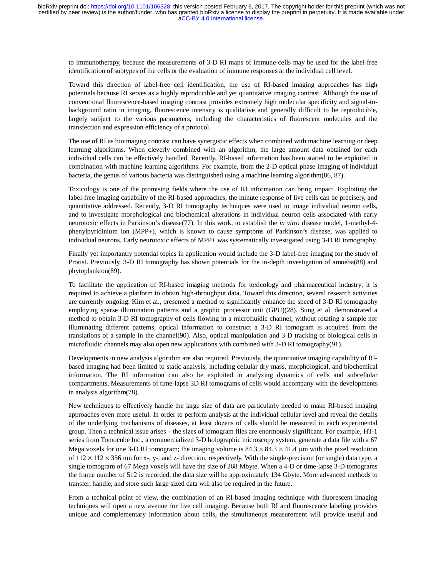to immunotherapy, because the measurements of 3-D RI maps of immune cells may be used for the label-free identification of subtypes of the cells or the evaluation of immune responses at the individual cell level.

Toward this direction of label-free cell identification, the use of RI-based imaging approaches has high potentials because RI serves as a highly reproducible and yet quantitative imaging contrast. Although the use of conventional fluorescence-based imaging contrast provides extremely high molecular specificity and signal-tobackground ratio in imaging, fluorescence intensity is qualitative and generally difficult to be reproducible, largely subject to the various parameters, including the characteristics of fluorescent molecules and the transfection and expression efficiency of a protocol.

The use of RI as bioimaging contrast can have synergistic effects when combined with machine learning or deep learning algorithms. When cleverly combined with an algorithm, the large amount data obtained for each individual cells can be effectively handled. Recently, RI-based information has been started to be exploited in combination with machine learning algorithms. For example, from the 2-D optical phase imaging of individual bacteria, the genus of various bacteria was distinguished using a machine learning algorithm(86, 87).

Toxicology is one of the promising fields where the use of RI information can bring impact. Exploiting the label-free imaging capability of the RI-based approaches, the minute response of live cells can be precisely, and quantitative addressed. Recently, 3-D RI tomography techniques were used to image individual neuron cells, and to investigate morphological and biochemical alterations in individual neuron cells associated with early neurotoxic effects in Parkinson's disease(77). In this work, to establish the *in vitro* disease model, 1-methyl-4 phenylpyridinium ion (MPP+), which is known to cause symptoms of Parkinson's disease, was applied to individual neurons. Early neurotoxic effects of MPP+ was systematically investigated using 3-D RI tomography.

Finally yet importantly potential topics in application would include the 3-D label-free imaging for the study of Protist. Previously, 3-D RI tomography has shown potentials for the in-depth investigation of amoeba(88) and phytoplankton(89).

To facilitate the application of RI-based imaging methods for toxicology and pharmaceutical industry, it is required to achieve a platform to obtain high-throughput data. Toward this direction, several research activities are currently ongoing. Kim et al., presented a method to significantly enhance the speed of 3-D RI tomography employing sparse illumination patterns and a graphic processor unit (GPU)(28). Sung et al. demonstrated a method to obtain 3-D RI tomography of cells flowing in a microfluidic channel; without rotating a sample nor illuminating different patterns, optical information to construct a 3-D RI tomogram is acquired from the translations of a sample in the channel(90). Also, optical manipulation and 3-D tracking of biological cells in microfluidic channels may also open new applications with combined with 3-D RI tomography(91).

Developments in new analysis algorithm are also required. Previously, the quantitative imaging capability of RIbased imaging had been limited to static analysis, including cellular dry mass, morphological, and biochemical information. The RI information can also be exploited in analyzing dynamics of cells and subcellular compartments. Measurements of time-lapse 3D RI tomograms of cells would accompany with the developments in analysis algorithm(78).

New techniques to effectively handle the large size of data are particularly needed to make RI-based imaging approaches even more useful. In order to perform analysis at the individual cellular level and reveal the details of the underlying mechanisms of diseases, at least dozens of cells should be measured in each experimental group. Then a technical issue arises – the sizes of tomogram files are enormously significant. For example, HT-1 series from Tomocube Inc., a commercialized 3-D holographic microscopy system, generate a data file with a 67 Mega voxels for one 3-D RI tomogram; the imaging volume is  $84.3 \times 84.3 \times 41.4$  µm with the pixel resolution of  $112 \times 112 \times 356$  nm for x-, y-, and z- direction, respectively. With the single-precision (or single) data type, a single tomogram of 67 Mega voxels will have the size of 268 Mbyte. When a 4-D or time-lapse 3-D tomograms the frame number of 512 is recorded, the data size will be approximately 134 Gbyte. More advanced methods to transfer, handle, and store such large sized data will also be required in the future.

From a technical point of view, the combination of an RI-based imaging technique with fluorescent imaging techniques will open a new avenue for live cell imaging. Because both RI and fluorescence labeling provides unique and complementary information about cells, the simultaneous measurement will provide useful and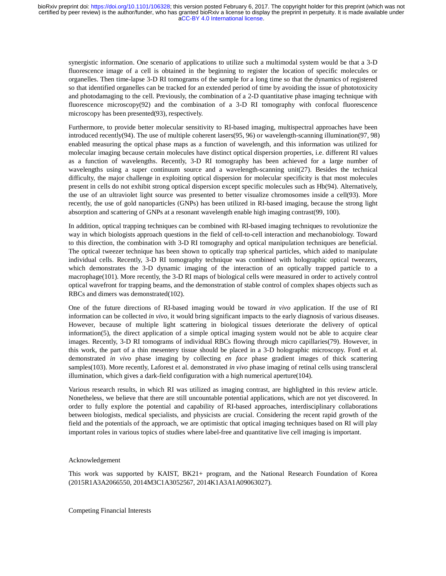synergistic information. One scenario of applications to utilize such a multimodal system would be that a 3-D fluorescence image of a cell is obtained in the beginning to register the location of specific molecules or organelles. Then time-lapse 3-D RI tomograms of the sample for a long time so that the dynamics of registered so that identified organelles can be tracked for an extended period of time by avoiding the issue of phototoxicity and photodamaging to the cell. Previously, the combination of a 2-D quantitative phase imaging technique with fluorescence microscopy(92) and the combination of a 3-D RI tomography with confocal fluorescence microscopy has been presented(93), respectively.

Furthermore, to provide better molecular sensitivity to RI-based imaging, multispectral approaches have been introduced recently(94). The use of multiple coherent lasers(95, 96) or wavelength-scanning illumination(97, 98) enabled measuring the optical phase maps as a function of wavelength, and this information was utilized for molecular imaging because certain molecules have distinct optical dispersion properties, i.e. different RI values as a function of wavelengths. Recently, 3-D RI tomography has been achieved for a large number of wavelengths using a super continuum source and a wavelength-scanning unit(27). Besides the technical difficulty, the major challenge in exploiting optical dispersion for molecular specificity is that most molecules present in cells do not exhibit strong optical dispersion except specific molecules such as Hb(94). Alternatively, the use of an ultraviolet light source was presented to better visualize chromosomes inside a cell(93). More recently, the use of gold nanoparticles (GNPs) has been utilized in RI-based imaging, because the strong light absorption and scattering of GNPs at a resonant wavelength enable high imaging contrast(99, 100).

In addition, optical trapping techniques can be combined with RI-based imaging techniques to revolutionize the way in which biologists approach questions in the field of cell-to-cell interaction and mechanobiology. Toward to this direction, the combination with 3-D RI tomography and optical manipulation techniques are beneficial. The optical tweezer technique has been shown to optically trap spherical particles, which aided to manipulate individual cells. Recently, 3-D RI tomography technique was combined with holographic optical tweezers, which demonstrates the 3-D dynamic imaging of the interaction of an optically trapped particle to a macrophage(101). More recently, the 3-D RI maps of biological cells were measured in order to actively control optical wavefront for trapping beams, and the demonstration of stable control of complex shapes objects such as RBCs and dimers was demonstrated(102).

One of the future directions of RI-based imaging would be toward *in vivo* application. If the use of RI information can be collected *in vivo*, it would bring significant impacts to the early diagnosis of various diseases. However, because of multiple light scattering in biological tissues deteriorate the delivery of optical information(5), the direct application of a simple optical imaging system would not be able to acquire clear images. Recently, 3-D RI tomograms of individual RBCs flowing through micro capillaries(79). However, in this work, the part of a thin mesentery tissue should be placed in a 3-D holographic microscopy. Ford et al. demonstrated *in vivo* phase imaging by collecting *en face* phase gradient images of thick scattering samples(103). More recently, Laforest et al. demonstrated *in vivo* phase imaging of retinal cells using transcleral illumination, which gives a dark-field configuration with a high numerical aperture(104).

Various research results, in which RI was utilized as imaging contrast, are highlighted in this review article. Nonetheless, we believe that there are still uncountable potential applications, which are not yet discovered. In order to fully explore the potential and capability of RI-based approaches, interdisciplinary collaborations between biologists, medical specialists, and physicists are crucial. Considering the recent rapid growth of the field and the potentials of the approach, we are optimistic that optical imaging techniques based on RI will play important roles in various topics of studies where label-free and quantitative live cell imaging is important.

# Acknowledgement

This work was supported by KAIST, BK21+ program, and the National Research Foundation of Korea (2015R1A3A2066550, 2014M3C1A3052567, 2014K1A3A1A09063027).

Competing Financial Interests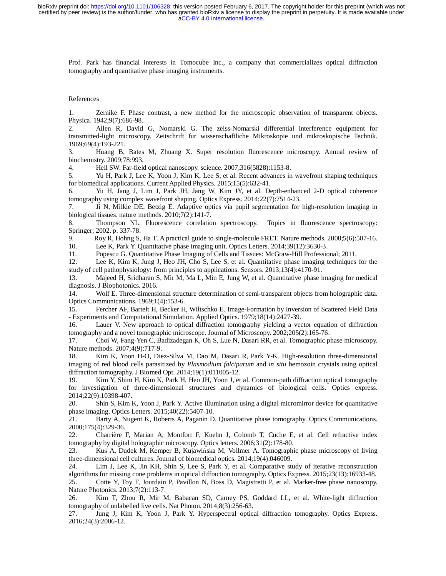Prof. Park has financial interests in Tomocube Inc., a company that commercializes optical diffraction tomography and quantitative phase imaging instruments.

## References

1. Zernike F. Phase contrast, a new method for the microscopic observation of transparent objects. Physica. 1942;9(7):686-98.

2. Allen R, David G, Nomarski G. The zeiss-Nomarski differential interference equipment for transmitted-light microscopy. Zeitschrift fur wissenschaftliche Mikroskopie und mikroskopische Technik. 1969;69(4):193-221.

3. Huang B, Bates M, Zhuang X. Super resolution fluorescence microscopy. Annual review of biochemistry. 2009;78:993.

4. Hell SW. Far-field optical nanoscopy. science. 2007;316(5828):1153-8.

5. Yu H, Park J, Lee K, Yoon J, Kim K, Lee S, et al. Recent advances in wavefront shaping techniques for biomedical applications. Current Applied Physics. 2015;15(5):632-41.

6. Yu H, Jang J, Lim J, Park JH, Jang W, Kim JY, et al. Depth-enhanced 2-D optical coherence tomography using complex wavefront shaping. Optics Express. 2014;22(7):7514-23.

7. Ji N, Milkie DE, Betzig E. Adaptive optics via pupil segmentation for high-resolution imaging in biological tissues. nature methods. 2010;7(2):141-7.

8. Thompson NL. Fluorescence correlation spectroscopy. Topics in fluorescence spectroscopy: Springer; 2002. p. 337-78.

9. Roy R, Hohng S, Ha T. A practical guide to single-molecule FRET. Nature methods. 2008;5(6):507-16.

10. Lee K, Park Y. Quantitative phase imaging unit. Optics Letters. 2014;39(12):3630-3.

11. Popescu G. Quantitative Phase Imaging of Cells and Tissues: McGraw-Hill Professional; 2011.

12. Lee K, Kim K, Jung J, Heo JH, Cho S, Lee S, et al. Quantitative phase imaging techniques for the study of cell pathophysiology: from principles to applications. Sensors. 2013;13(4):4170-91.

13. Majeed H, Sridharan S, Mir M, Ma L, Min E, Jung W, et al. Quantitative phase imaging for medical diagnosis. J Biophotonics. 2016.

14. Wolf E. Three-dimensional structure determination of semi-transparent objects from holographic data. Optics Communications. 1969;1(4):153-6.

15. Fercher AF, Bartelt H, Becker H, Wiltschko E. Image-Formation by Inversion of Scattered Field Data - Experiments and Computational Simulation. Applied Optics. 1979;18(14):2427-39.

16. Lauer V. New approach to optical diffraction tomography yielding a vector equation of diffraction tomography and a novel tomographic microscope. Journal of Microscopy. 2002;205(2):165-76.

17. Choi W, Fang-Yen C, Badizadegan K, Oh S, Lue N, Dasari RR, et al. Tomographic phase microscopy. Nature methods. 2007;4(9):717-9.

18. Kim K, Yoon H-O, Diez-Silva M, Dao M, Dasari R, Park Y-K. High-resolution three-dimensional imaging of red blood cells parasitized by *Plasmodium falciparum* and *in situ* hemozoin crystals using optical diffraction tomography. J Biomed Opt. 2014;19(1):011005-12.

19. Kim Y, Shim H, Kim K, Park H, Heo JH, Yoon J, et al. Common-path diffraction optical tomography for investigation of three-dimensional structures and dynamics of biological cells. Optics express. 2014;22(9):10398-407.

20. Shin S, Kim K, Yoon J, Park Y. Active illumination using a digital micromirror device for quantitative phase imaging. Optics Letters. 2015;40(22):5407-10.

21. Barty A, Nugent K, Roberts A, Paganin D. Quantitative phase tomography. Optics Communications. 2000;175(4):329-36.

22. Charrière F, Marian A, Montfort F, Kuehn J, Colomb T, Cuche E, et al. Cell refractive index tomography by digital holographic microscopy. Optics letters. 2006;31(2):178-80.

23. Kuś A, Dudek M, Kemper B, Kujawińska M, Vollmer A. Tomographic phase microscopy of living three-dimensional cell cultures. Journal of biomedical optics. 2014;19(4):046009.

24. Lim J, Lee K, Jin KH, Shin S, Lee S, Park Y, et al. Comparative study of iterative reconstruction algorithms for missing cone problems in optical diffraction tomography. Optics Express. 2015;23(13):16933-48. 25. Cotte Y, Toy F, Jourdain P, Pavillon N, Boss D, Magistretti P, et al. Marker-free phase nanoscopy. Nature Photonics. 2013;7(2):113-7.

26. Kim T, Zhou R, Mir M, Babacan SD, Carney PS, Goddard LL, et al. White-light diffraction tomography of unlabelled live cells. Nat Photon. 2014;8(3):256-63.

27. Jung J, Kim K, Yoon J, Park Y. Hyperspectral optical diffraction tomography. Optics Express. 2016;24(3):2006-12.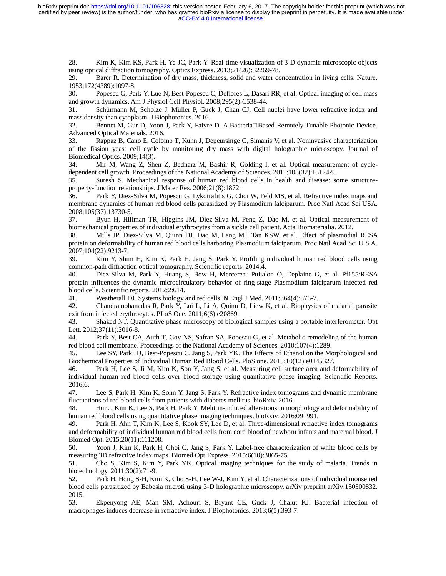[aCC-BY 4.0 International license.](http://creativecommons.org/licenses/by/4.0/) certified by peer review) is the author/funder, who has granted bioRxiv a license to display the preprint in perpetuity. It is made available under bioRxiv preprint doi: [https://doi.org/10.1101/106328;](https://doi.org/10.1101/106328) this version posted February 6, 2017. The copyright holder for this preprint (which was not

28. Kim K, Kim KS, Park H, Ye JC, Park Y. Real-time visualization of 3-D dynamic microscopic objects using optical diffraction tomography. Optics Express. 2013;21(26):32269-78.

29. Barer R. Determination of dry mass, thickness, solid and water concentration in living cells. Nature. 1953;172(4389):1097-8.

30. Popescu G, Park Y, Lue N, Best-Popescu C, Deflores L, Dasari RR, et al. Optical imaging of cell mass and growth dynamics. Am J Physiol Cell Physiol. 2008;295(2):C538-44.

31. Schürmann M, Scholze J, Müller P, Guck J, Chan CJ. Cell nuclei have lower refractive index and mass density than cytoplasm. J Biophotonics. 2016.

32. Bennet M, Gur D, Yoon J, Park Y, Faivre D. A Bacteria□Based Remotely Tunable Photonic Device. Advanced Optical Materials. 2016.

33. Rappaz B, Cano E, Colomb T, Kuhn J, Depeursinge C, Simanis V, et al. Noninvasive characterization of the fission yeast cell cycle by monitoring dry mass with digital holographic microscopy. Journal of Biomedical Optics. 2009;14(3).

34. Mir M, Wang Z, Shen Z, Bednarz M, Bashir R, Golding I, et al. Optical measurement of cycledependent cell growth. Proceedings of the National Academy of Sciences. 2011;108(32):13124-9.

35. Suresh S. Mechanical response of human red blood cells in health and disease: some structureproperty-function relationships. J Mater Res. 2006;21(8):1872.

36. Park Y, Diez-Silva M, Popescu G, Lykotrafitis G, Choi W, Feld MS, et al. Refractive index maps and membrane dynamics of human red blood cells parasitized by Plasmodium falciparum. Proc Natl Acad Sci USA. 2008;105(37):13730-5.

37. Byun H, Hillman TR, Higgins JM, Diez-Silva M, Peng Z, Dao M, et al. Optical measurement of biomechanical properties of individual erythrocytes from a sickle cell patient. Acta Biomaterialia. 2012.

38. Mills JP, Diez-Silva M, Quinn DJ, Dao M, Lang MJ, Tan KSW, et al. Effect of plasmodial RESA protein on deformability of human red blood cells harboring Plasmodium falciparum. Proc Natl Acad Sci U S A. 2007;104(22):9213-7.

39. Kim Y, Shim H, Kim K, Park H, Jang S, Park Y. Profiling individual human red blood cells using common-path diffraction optical tomography. Scientific reports. 2014;4.

40. Diez-Silva M, Park Y, Huang S, Bow H, Mercereau-Puijalon O, Deplaine G, et al. Pf155/RESA protein influences the dynamic microcirculatory behavior of ring-stage Plasmodium falciparum infected red blood cells. Scientific reports. 2012;2:614.

41. Weatherall DJ. Systems biology and red cells. N Engl J Med. 2011;364(4):376-7.

42. Chandramohanadas R, Park Y, Lui L, Li A, Quinn D, Liew K, et al. Biophysics of malarial parasite exit from infected erythrocytes. PLoS One. 2011;6(6):e20869.

43. Shaked NT. Quantitative phase microscopy of biological samples using a portable interferometer. Opt Lett. 2012;37(11):2016-8.

44. Park Y, Best CA, Auth T, Gov NS, Safran SA, Popescu G, et al. Metabolic remodeling of the human red blood cell membrane. Proceedings of the National Academy of Sciences. 2010;107(4):1289.

45. Lee SY, Park HJ, Best-Popescu C, Jang S, Park YK. The Effects of Ethanol on the Morphological and Biochemical Properties of Individual Human Red Blood Cells. PloS one. 2015;10(12):e0145327.

46. Park H, Lee S, Ji M, Kim K, Son Y, Jang S, et al. Measuring cell surface area and deformability of individual human red blood cells over blood storage using quantitative phase imaging. Scientific Reports. 2016;6.

47. Lee S, Park H, Kim K, Sohn Y, Jang S, Park Y. Refractive index tomograms and dynamic membrane fluctuations of red blood cells from patients with diabetes mellitus. bioRxiv. 2016.

48. Hur J, Kim K, Lee S, Park H, Park Y. Melittin-induced alterations in morphology and deformability of human red blood cells using quantitative phase imaging techniques. bioRxiv. 2016:091991.

49. Park H, Ahn T, Kim K, Lee S, Kook SY, Lee D, et al. Three-dimensional refractive index tomograms and deformability of individual human red blood cells from cord blood of newborn infants and maternal blood. J Biomed Opt. 2015;20(11):111208.

50. Yoon J, Kim K, Park H, Choi C, Jang S, Park Y. Label-free characterization of white blood cells by measuring 3D refractive index maps. Biomed Opt Express. 2015;6(10):3865-75.

51. Cho S, Kim S, Kim Y, Park YK. Optical imaging techniques for the study of malaria. Trends in biotechnology. 2011;30(2):71-9.

52. Park H, Hong S-H, Kim K, Cho S-H, Lee W-J, Kim Y, et al. Characterizations of individual mouse red blood cells parasitized by Babesia microti using 3-D holographic microscopy. arXiv preprint arXiv:150500832. 2015.

53. Ekpenyong AE, Man SM, Achouri S, Bryant CE, Guck J, Chalut KJ. Bacterial infection of macrophages induces decrease in refractive index. J Biophotonics. 2013;6(5):393-7.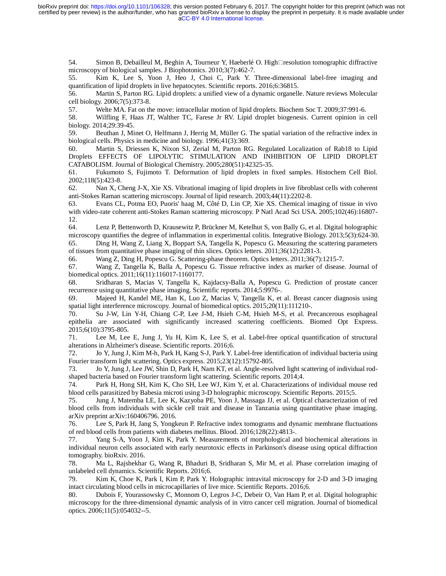[aCC-BY 4.0 International license.](http://creativecommons.org/licenses/by/4.0/) certified by peer review) is the author/funder, who has granted bioRxiv a license to display the preprint in perpetuity. It is made available under bioRxiv preprint doi: [https://doi.org/10.1101/106328;](https://doi.org/10.1101/106328) this version posted February 6, 2017. The copyright holder for this preprint (which was not

54. Simon B, Debailleul M, Beghin A, Tourneur Y, Haeberlé O. High□resolution tomographic diffractive microscopy of biological samples. J Biophotonics. 2010;3(7):462-7.

55. Kim K, Lee S, Yoon J, Heo J, Choi C, Park Y. Three-dimensional label-free imaging and quantification of lipid droplets in live hepatocytes. Scientific reports. 2016;6:36815.

56. Martin S, Parton RG. Lipid droplets: a unified view of a dynamic organelle. Nature reviews Molecular cell biology. 2006;7(5):373-8.

57. Welte MA. Fat on the move: intracellular motion of lipid droplets. Biochem Soc T. 2009;37:991-6.

58. Wilfling F, Haas JT, Walther TC, Farese Jr RV. Lipid droplet biogenesis. Current opinion in cell biology. 2014;29:39-45.

59. Beuthan J, Minet O, Helfmann J, Herrig M, Müller G. The spatial variation of the refractive index in biological cells. Physics in medicine and biology. 1996;41(3):369.

60. Martin S, Driessen K, Nixon SJ, Zerial M, Parton RG. Regulated Localization of Rab18 to Lipid Droplets EFFECTS OF LIPOLYTIC STIMULATION AND INHIBITION OF LIPID DROPLET CATABOLISM. Journal of Biological Chemistry. 2005;280(51):42325-35.

61. Fukumoto S, Fujimoto T. Deformation of lipid droplets in fixed samples. Histochem Cell Biol. 2002;118(5):423-8.

62. Nan X, Cheng J-X, Xie XS. Vibrational imaging of lipid droplets in live fibroblast cells with coherent anti-Stokes Raman scattering microscopy. Journal of lipid research. 2003;44(11):2202-8.

63. Evans CL, Potma EO, Puoris' haag M, Côté D, Lin CP, Xie XS. Chemical imaging of tissue in vivo with video-rate coherent anti-Stokes Raman scattering microscopy. P Natl Acad Sci USA. 2005;102(46):16807- 12.

64. Lenz P, Bettenworth D, Krausewitz P, Brückner M, Ketelhut S, von Bally G, et al. Digital holographic microscopy quantifies the degree of inflammation in experimental colitis. Integrative Biology. 2013;5(3):624-30.

65. Ding H, Wang Z, Liang X, Boppart SA, Tangella K, Popescu G. Measuring the scattering parameters of tissues from quantitative phase imaging of thin slices. Optics letters. 2011;36(12):2281-3.

66. Wang Z, Ding H, Popescu G. Scattering-phase theorem. Optics letters. 2011;36(7):1215-7.

67. Wang Z, Tangella K, Balla A, Popescu G. Tissue refractive index as marker of disease. Journal of biomedical optics. 2011;16(11):116017-1160177.

68. Sridharan S, Macias V, Tangella K, Kajdacsy-Balla A, Popescu G. Prediction of prostate cancer recurrence using quantitative phase imaging. Scientific reports. 2014;5:9976-.

69. Majeed H, Kandel ME, Han K, Luo Z, Macias V, Tangella K, et al. Breast cancer diagnosis using spatial light interference microscopy. Journal of biomedical optics. 2015;20(11):111210-.

70. Su J-W, Lin Y-H, Chiang C-P, Lee J-M, Hsieh C-M, Hsieh M-S, et al. Precancerous esophageal epithelia are associated with significantly increased scattering coefficients. Biomed Opt Express. 2015;6(10):3795-805.

71. Lee M, Lee E, Jung J, Yu H, Kim K, Lee S, et al. Label-free optical quantification of structural alterations in Alzheimer's disease. Scientific reports. 2016;6.

72. Jo Y, Jung J, Kim M-h, Park H, Kang S-J, Park Y. Label-free identification of individual bacteria using Fourier transform light scattering. Optics express. 2015;23(12):15792-805.

73. Jo Y, Jung J, Lee JW, Shin D, Park H, Nam KT, et al. Angle-resolved light scattering of individual rodshaped bacteria based on Fourier transform light scattering. Scientific reports. 2014;4.

74. Park H, Hong SH, Kim K, Cho SH, Lee WJ, Kim Y, et al. Characterizations of individual mouse red blood cells parasitized by Babesia microti using 3-D holographic microscopy. Scientific Reports. 2015;5.

75. Jung J, Matemba LE, Lee K, Kazyoba PE, Yoon J, Massaga JJ, et al. Optical characterization of red blood cells from individuals with sickle cell trait and disease in Tanzania using quantitative phase imaging. arXiv preprint arXiv:160406796. 2016.

76. Lee S, Park H, Jang S, Yongkeun P. Refractive index tomograms and dynamic membrane fluctuations of red blood cells from patients with diabetes mellitus. Blood. 2016;128(22):4813-.

77. Yang S-A, Yoon J, Kim K, Park Y. Measurements of morphological and biochemical alterations in individual neuron cells associated with early neurotoxic effects in Parkinson's disease using optical diffraction tomography. bioRxiv. 2016.<br>78. Ma L, Rajshekhai

78. Ma L, Rajshekhar G, Wang R, Bhaduri B, Sridharan S, Mir M, et al. Phase correlation imaging of unlabeled cell dynamics. Scientific Reports. 2016;6.

79. Kim K, Choe K, Park I, Kim P, Park Y. Holographic intravital microscopy for 2-D and 3-D imaging intact circulating blood cells in microcapillaries of live mice. Scientific Reports. 2016;6.

80. Dubois F, Yourassowsky C, Monnom O, Legros J-C, Debeir O, Van Ham P, et al. Digital holographic microscopy for the three-dimensional dynamic analysis of in vitro cancer cell migration. Journal of biomedical optics. 2006;11(5):054032--5.